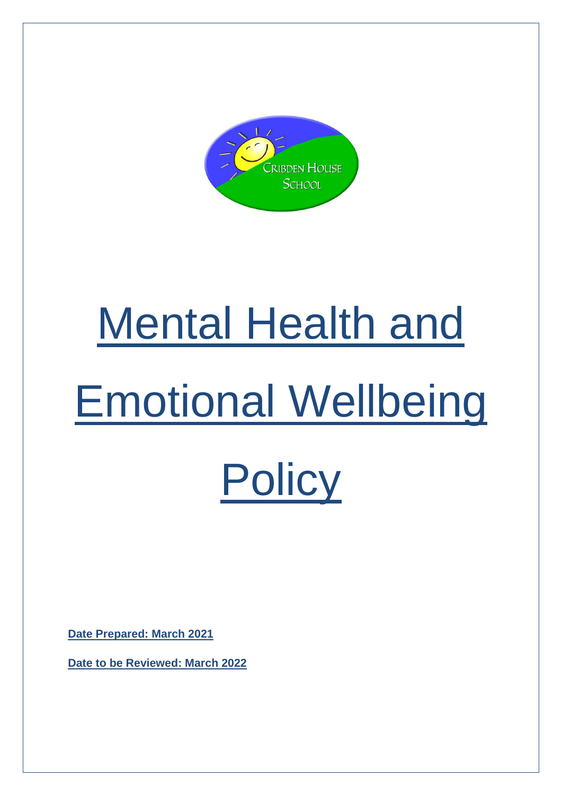

# Mental Health and Emotional Wellbeing **Policy**

**Date Prepared: March 2021** 

**Date to be Reviewed: March 2022**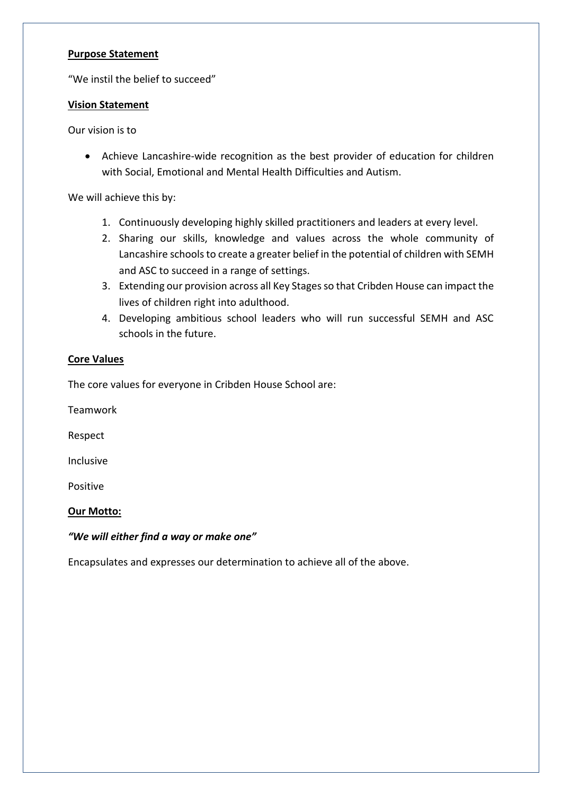#### **Purpose Statement**

"We instil the belief to succeed"

#### **Vision Statement**

Our vision is to

• Achieve Lancashire-wide recognition as the best provider of education for children with Social, Emotional and Mental Health Difficulties and Autism.

We will achieve this by:

- 1. Continuously developing highly skilled practitioners and leaders at every level.
- 2. Sharing our skills, knowledge and values across the whole community of Lancashire schools to create a greater belief in the potential of children with SEMH and ASC to succeed in a range of settings.
- 3. Extending our provision across all Key Stages so that Cribden House can impact the lives of children right into adulthood.
- 4. Developing ambitious school leaders who will run successful SEMH and ASC schools in the future.

# **Core Values**

The core values for everyone in Cribden House School are:

Teamwork

Respect

Inclusive

Positive

# **Our Motto:**

# *"We will either find a way or make one"*

Encapsulates and expresses our determination to achieve all of the above.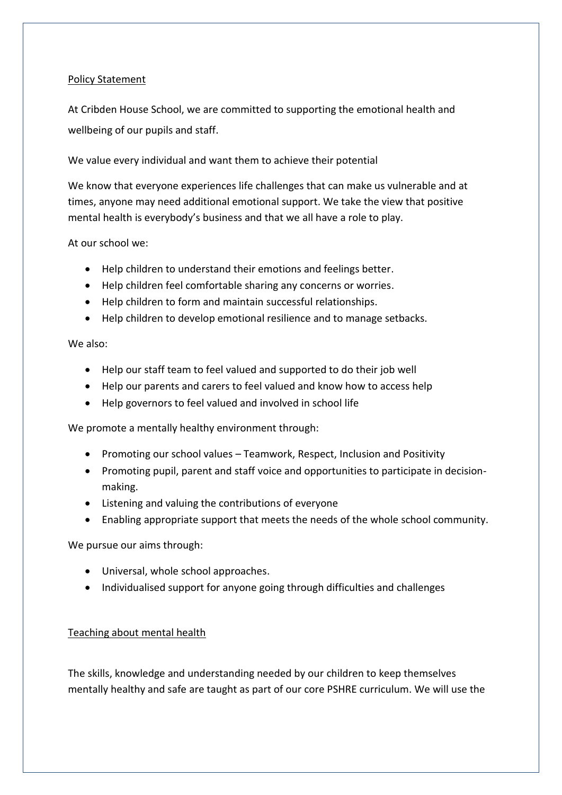#### Policy Statement

At Cribden House School, we are committed to supporting the emotional health and wellbeing of our pupils and staff.

We value every individual and want them to achieve their potential

We know that everyone experiences life challenges that can make us vulnerable and at times, anyone may need additional emotional support. We take the view that positive mental health is everybody's business and that we all have a role to play.

At our school we:

- Help children to understand their emotions and feelings better.
- Help children feel comfortable sharing any concerns or worries.
- Help children to form and maintain successful relationships.
- Help children to develop emotional resilience and to manage setbacks.

We also:

- Help our staff team to feel valued and supported to do their job well
- Help our parents and carers to feel valued and know how to access help
- Help governors to feel valued and involved in school life

We promote a mentally healthy environment through:

- Promoting our school values Teamwork, Respect, Inclusion and Positivity
- Promoting pupil, parent and staff voice and opportunities to participate in decisionmaking.
- Listening and valuing the contributions of everyone
- Enabling appropriate support that meets the needs of the whole school community.

We pursue our aims through:

- Universal, whole school approaches.
- Individualised support for anyone going through difficulties and challenges

#### Teaching about mental health

The skills, knowledge and understanding needed by our children to keep themselves mentally healthy and safe are taught as part of our core PSHRE curriculum. We will use the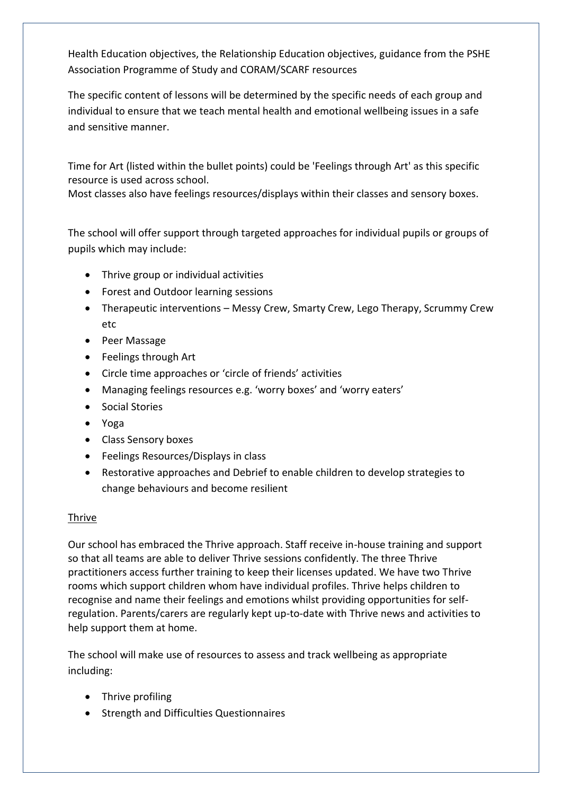Health Education objectives, the Relationship Education objectives, guidance from the PSHE Association Programme of Study and CORAM/SCARF resources

The specific content of lessons will be determined by the specific needs of each group and individual to ensure that we teach mental health and emotional wellbeing issues in a safe and sensitive manner.

Time for Art (listed within the bullet points) could be 'Feelings through Art' as this specific resource is used across school.

Most classes also have feelings resources/displays within their classes and sensory boxes.

The school will offer support through targeted approaches for individual pupils or groups of pupils which may include:

- Thrive group or individual activities
- Forest and Outdoor learning sessions
- Therapeutic interventions Messy Crew, Smarty Crew, Lego Therapy, Scrummy Crew etc
- Peer Massage
- Feelings through Art
- Circle time approaches or 'circle of friends' activities
- Managing feelings resources e.g. 'worry boxes' and 'worry eaters'
- Social Stories
- Yoga
- Class Sensory boxes
- Feelings Resources/Displays in class
- Restorative approaches and Debrief to enable children to develop strategies to change behaviours and become resilient

# Thrive

Our school has embraced the Thrive approach. Staff receive in-house training and support so that all teams are able to deliver Thrive sessions confidently. The three Thrive practitioners access further training to keep their licenses updated. We have two Thrive rooms which support children whom have individual profiles. Thrive helps children to recognise and name their feelings and emotions whilst providing opportunities for selfregulation. Parents/carers are regularly kept up-to-date with Thrive news and activities to help support them at home.

The school will make use of resources to assess and track wellbeing as appropriate including:

- Thrive profiling
- Strength and Difficulties Questionnaires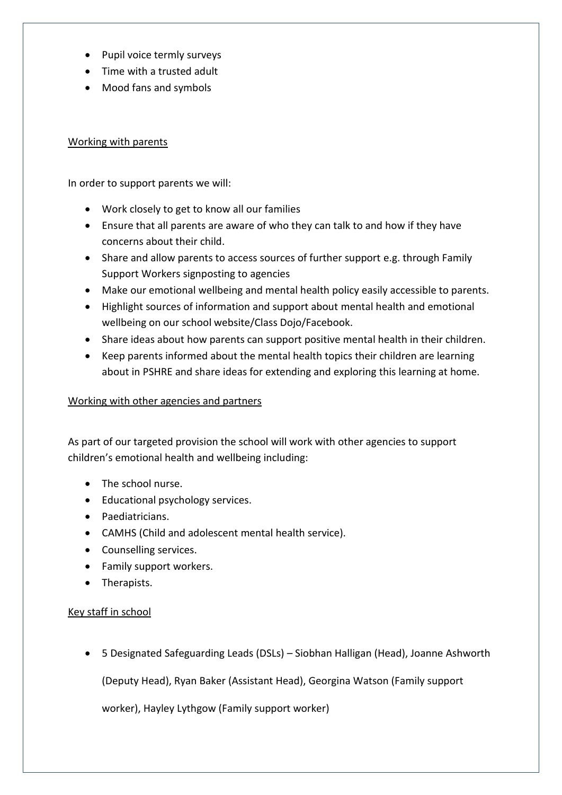- Pupil voice termly surveys
- Time with a trusted adult
- Mood fans and symbols

### Working with parents

In order to support parents we will:

- Work closely to get to know all our families
- Ensure that all parents are aware of who they can talk to and how if they have concerns about their child.
- Share and allow parents to access sources of further support e.g. through Family Support Workers signposting to agencies
- Make our emotional wellbeing and mental health policy easily accessible to parents.
- Highlight sources of information and support about mental health and emotional wellbeing on our school website/Class Dojo/Facebook.
- Share ideas about how parents can support positive mental health in their children.
- Keep parents informed about the mental health topics their children are learning about in PSHRE and share ideas for extending and exploring this learning at home.

# Working with other agencies and partners

As part of our targeted provision the school will work with other agencies to support children's emotional health and wellbeing including:

- The school nurse.
- Educational psychology services.
- Paediatricians.
- CAMHS (Child and adolescent mental health service).
- Counselling services.
- Family support workers.
- Therapists.

# Key staff in school

• 5 Designated Safeguarding Leads (DSLs) – Siobhan Halligan (Head), Joanne Ashworth

(Deputy Head), Ryan Baker (Assistant Head), Georgina Watson (Family support

worker), Hayley Lythgow (Family support worker)